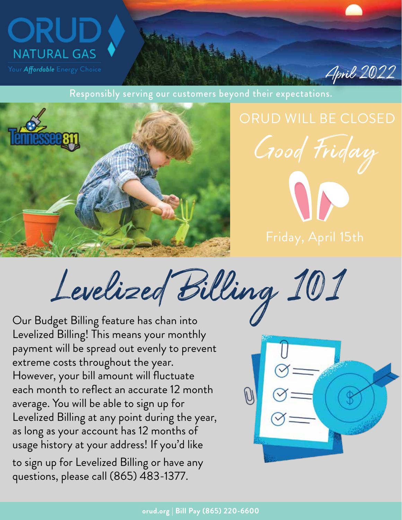

Responsibly serving our customers beyond their expectations.



Good Friday

April 2022

Levelized Billing 101

Levelized Billing! This means your monthly payment will be spread out evenly to prevent extreme costs throughout the year. However, your bill amount will fluctuate each month to reflect an accurate 12 month average. You will be able to sign up for Levelized Billing at any point during the year, as long as your account has 12 months of usage history at your address! If you'd like to sign up for Levelized Billing or have any

questions, please call (865) 483-1377.